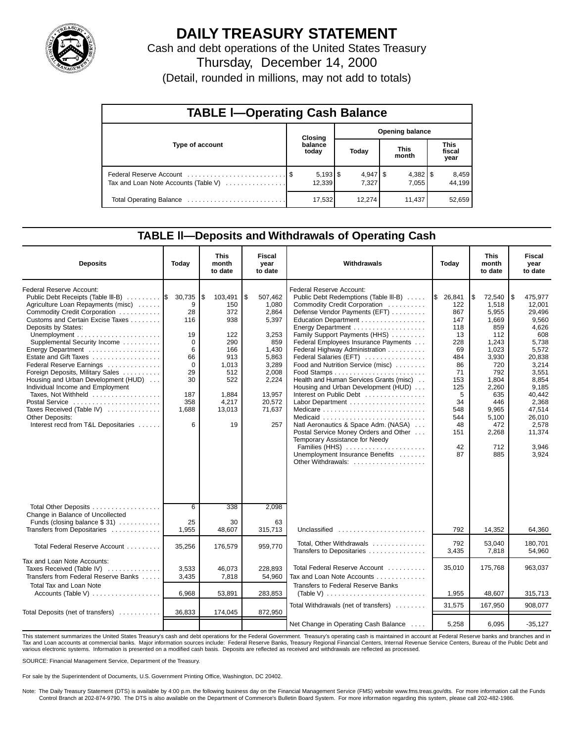

## **DAILY TREASURY STATEMENT**

Cash and debt operations of the United States Treasury Thursday, December 14, 2000

(Detail, rounded in millions, may not add to totals)

| <b>TABLE I-Operating Cash Balance</b> |  |                              |                 |        |                      |                       |                               |                 |  |  |  |  |
|---------------------------------------|--|------------------------------|-----------------|--------|----------------------|-----------------------|-------------------------------|-----------------|--|--|--|--|
|                                       |  | Closing                      | Opening balance |        |                      |                       |                               |                 |  |  |  |  |
| Type of account                       |  | balance<br>today             | Today           |        | <b>This</b><br>month |                       | <b>This</b><br>fiscal<br>year |                 |  |  |  |  |
| Tax and Loan Note Accounts (Table V)  |  | $5,193$ $\sqrt{5}$<br>12,339 |                 | 7.327  |                      | $4,382$   \$<br>7.055 |                               | 8,459<br>44,199 |  |  |  |  |
|                                       |  | 17,532                       |                 | 12.274 |                      | 11.437                |                               | 52,659          |  |  |  |  |

### **TABLE ll—Deposits and Withdrawals of Operating Cash**

| <b>Deposits</b>                                                                                                                                                                                                                                                                                                                                                                                                                                                                                                                                   | Today                                                                                                     | This<br>month<br>to date                                                                                                | <b>Fiscal</b><br>year<br>to date                                                                                                           | Withdrawals                                                                                                                                                                                                                                                                                                                                                                                                                                                                                                                                                                                                                                                                                                                  | Today                                                                                                                                           | This<br>month<br>to date                                                                                                                                                       | Fiscal<br>year<br>to date                                                                                                                                                                               |
|---------------------------------------------------------------------------------------------------------------------------------------------------------------------------------------------------------------------------------------------------------------------------------------------------------------------------------------------------------------------------------------------------------------------------------------------------------------------------------------------------------------------------------------------------|-----------------------------------------------------------------------------------------------------------|-------------------------------------------------------------------------------------------------------------------------|--------------------------------------------------------------------------------------------------------------------------------------------|------------------------------------------------------------------------------------------------------------------------------------------------------------------------------------------------------------------------------------------------------------------------------------------------------------------------------------------------------------------------------------------------------------------------------------------------------------------------------------------------------------------------------------------------------------------------------------------------------------------------------------------------------------------------------------------------------------------------------|-------------------------------------------------------------------------------------------------------------------------------------------------|--------------------------------------------------------------------------------------------------------------------------------------------------------------------------------|---------------------------------------------------------------------------------------------------------------------------------------------------------------------------------------------------------|
| <b>Federal Reserve Account:</b><br>Public Debt Receipts (Table III-B)<br>Agriculture Loan Repayments (misc)<br>Commodity Credit Corporation<br>Customs and Certain Excise Taxes<br>Deposits by States:<br>Supplemental Security Income<br>Estate and Gift Taxes<br>Federal Reserve Earnings<br>Foreign Deposits, Military Sales<br>Housing and Urban Development (HUD)<br>Individual Income and Employment<br>Taxes. Not Withheld<br>Postal Service<br>Taxes Received (Table IV)<br><b>Other Deposits:</b><br>Interest recd from T&L Depositaries | 30,735<br>9<br>28<br>116<br>19<br>$\Omega$<br>6<br>66<br>$\Omega$<br>29<br>30<br>187<br>358<br>1.688<br>6 | \$<br>103,491<br>150<br>372<br>938<br>122<br>290<br>166<br>913<br>1.013<br>512<br>522<br>1.884<br>4,217<br>13.013<br>19 | \$<br>507,462<br>1,080<br>2,864<br>5,397<br>3,253<br>859<br>1,430<br>5,863<br>3,289<br>2,008<br>2,224<br>13.957<br>20,572<br>71.637<br>257 | <b>Federal Reserve Account:</b><br>Public Debt Redemptions (Table III-B)<br>Commodity Credit Corporation<br>Defense Vendor Payments (EFT)<br>Education Department<br>Family Support Payments (HHS)<br>Federal Employees Insurance Payments<br>Federal Highway Administration<br>Federal Salaries (EFT)<br>Food and Nutrition Service (misc)<br>Health and Human Services Grants (misc)<br>Housing and Urban Development (HUD)<br>Interest on Public Debt<br>Medicare $\ldots \ldots \ldots \ldots \ldots \ldots \ldots \ldots$<br>Natl Aeronautics & Space Adm. (NASA)<br>Postal Service Money Orders and Other<br>Temporary Assistance for Needy<br>Families (HHS)<br>Unemployment Insurance Benefits<br>Other Withdrawals: | 1\$<br>26,841<br>122<br>867<br>147<br>118<br>13<br>228<br>69<br>484<br>86<br>71<br>153<br>125<br>5<br>34<br>548<br>544<br>48<br>151<br>42<br>87 | \$<br>72,540<br>1.518<br>5.955<br>1.669<br>859<br>112<br>1.243<br>1,023<br>3,930<br>720<br>792<br>1,804<br>2.260<br>635<br>446<br>9.965<br>5,100<br>472<br>2,268<br>712<br>885 | ھ ا<br>475,977<br>12.001<br>29,496<br>9.560<br>4.626<br>608<br>5,738<br>5,572<br>20,838<br>3,214<br>3.551<br>8,854<br>9.185<br>40.442<br>2,368<br>47.514<br>26,010<br>2,578<br>11,374<br>3,946<br>3,924 |
| Total Other Deposits<br>Change in Balance of Uncollected<br>Funds (closing balance $$31)$                                                                                                                                                                                                                                                                                                                                                                                                                                                         | $\overline{6}$<br>25                                                                                      | 338<br>30                                                                                                               | 2,098<br>63                                                                                                                                |                                                                                                                                                                                                                                                                                                                                                                                                                                                                                                                                                                                                                                                                                                                              |                                                                                                                                                 |                                                                                                                                                                                |                                                                                                                                                                                                         |
| Transfers from Depositaries<br>Total Federal Reserve Account                                                                                                                                                                                                                                                                                                                                                                                                                                                                                      | 1,955<br>35,256                                                                                           | 48,607<br>176,579                                                                                                       | 315,713<br>959,770                                                                                                                         | Unclassified<br>Total, Other Withdrawals                                                                                                                                                                                                                                                                                                                                                                                                                                                                                                                                                                                                                                                                                     | 792<br>792                                                                                                                                      | 14,352<br>53.040                                                                                                                                                               | 64,360<br>180.701                                                                                                                                                                                       |
| Tax and Loan Note Accounts:                                                                                                                                                                                                                                                                                                                                                                                                                                                                                                                       |                                                                                                           |                                                                                                                         |                                                                                                                                            | Transfers to Depositaries                                                                                                                                                                                                                                                                                                                                                                                                                                                                                                                                                                                                                                                                                                    | 3,435                                                                                                                                           | 7,818                                                                                                                                                                          | 54,960                                                                                                                                                                                                  |
| Taxes Received (Table IV)<br>Transfers from Federal Reserve Banks                                                                                                                                                                                                                                                                                                                                                                                                                                                                                 | 3,533<br>3,435                                                                                            | 46,073<br>7,818                                                                                                         | 228,893<br>54,960                                                                                                                          | Total Federal Reserve Account<br>Tax and Loan Note Accounts                                                                                                                                                                                                                                                                                                                                                                                                                                                                                                                                                                                                                                                                  | 35,010                                                                                                                                          | 175,768                                                                                                                                                                        | 963,037                                                                                                                                                                                                 |
| <b>Total Tax and Loan Note</b><br>$Accounts$ (Table V) $\ldots \ldots \ldots \ldots \ldots$                                                                                                                                                                                                                                                                                                                                                                                                                                                       | 6,968                                                                                                     | 53,891                                                                                                                  | 283,853                                                                                                                                    | Transfers to Federal Reserve Banks<br>(Table V) $\ldots \ldots \ldots \ldots \ldots \ldots \ldots \ldots$                                                                                                                                                                                                                                                                                                                                                                                                                                                                                                                                                                                                                    | 1,955                                                                                                                                           | 48,607                                                                                                                                                                         | 315,713                                                                                                                                                                                                 |
| Total Deposits (net of transfers)                                                                                                                                                                                                                                                                                                                                                                                                                                                                                                                 | 36,833                                                                                                    | 174,045                                                                                                                 | 872,950                                                                                                                                    | Total Withdrawals (net of transfers)                                                                                                                                                                                                                                                                                                                                                                                                                                                                                                                                                                                                                                                                                         | 31,575                                                                                                                                          | 167,950                                                                                                                                                                        | 908.077                                                                                                                                                                                                 |
|                                                                                                                                                                                                                                                                                                                                                                                                                                                                                                                                                   |                                                                                                           |                                                                                                                         |                                                                                                                                            | Net Change in Operating Cash Balance                                                                                                                                                                                                                                                                                                                                                                                                                                                                                                                                                                                                                                                                                         | 5,258                                                                                                                                           | 6.095                                                                                                                                                                          | $-35,127$                                                                                                                                                                                               |

This statement summarizes the United States Treasury's cash and debt operations for the Federal Government. Treasury's operating cash is maintained in account at Federal Reserve banks and branches and in Tax and Loan accounts at commercial banks. Major information sources include: Federal Reserve Banks, Treasury Regional Financial Centers, Internal Revenue Service Centers, Bureau of the Public Debt and various electronic systems. Information is presented on a modified cash basis. Deposits are reflected as received and withdrawals are reflected as processed.

SOURCE: Financial Management Service, Department of the Treasury.

For sale by the Superintendent of Documents, U.S. Government Printing Office, Washington, DC 20402.

Note: The Daily Treasury Statement (DTS) is available by 4:00 p.m. the following business day on the Financial Management Service (FMS) website www.fms.treas.gov/dts. For more information call the Funds<br>Control Branch at 2